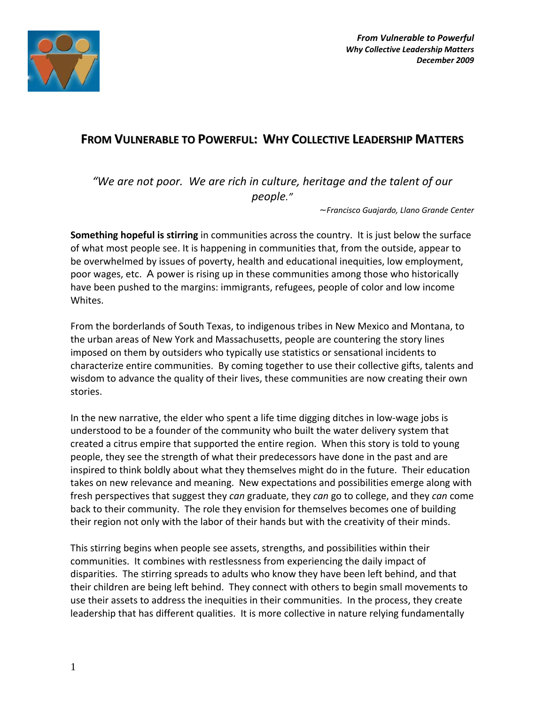

# **FROM VULNERABLE TO POWERFUL: WHY COLLECTIVE LEADERSHIP MATTERS**

*"We are not poor. We are rich in culture, heritage and the talent of our people."* 

*~Francisco Guajardo, Llano Grande Center* 

**Something hopeful is stirring** in communities across the country. It is just below the surface of what most people see. It is happening in communities that, from the outside, appear to be overwhelmed by issues of poverty, health and educational inequities, low employment, poor wages, etc. A power is rising up in these communities among those who historically have been pushed to the margins: immigrants, refugees, people of color and low income Whites.

From the borderlands of South Texas, to indigenous tribes in New Mexico and Montana, to the urban areas of New York and Massachusetts, people are countering the story lines imposed on them by outsiders who typically use statistics or sensational incidents to characterize entire communities. By coming together to use their collective gifts, talents and wisdom to advance the quality of their lives, these communities are now creating their own stories.

In the new narrative, the elder who spent a life time digging ditches in low-wage jobs is understood to be a founder of the community who built the water delivery system that created a citrus empire that supported the entire region. When this story is told to young people, they see the strength of what their predecessors have done in the past and are inspired to think boldly about what they themselves might do in the future. Their education takes on new relevance and meaning. New expectations and possibilities emerge along with fresh perspectives that suggest they *can* graduate, they *can* go to college, and they *can* come back to their community. The role they envision for themselves becomes one of building their region not only with the labor of their hands but with the creativity of their minds.

This stirring begins when people see assets, strengths, and possibilities within their communities. It combines with restlessness from experiencing the daily impact of disparities. The stirring spreads to adults who know they have been left behind, and that their children are being left behind. They connect with others to begin small movements to use their assets to address the inequities in their communities. In the process, they create leadership that has different qualities. It is more collective in nature relying fundamentally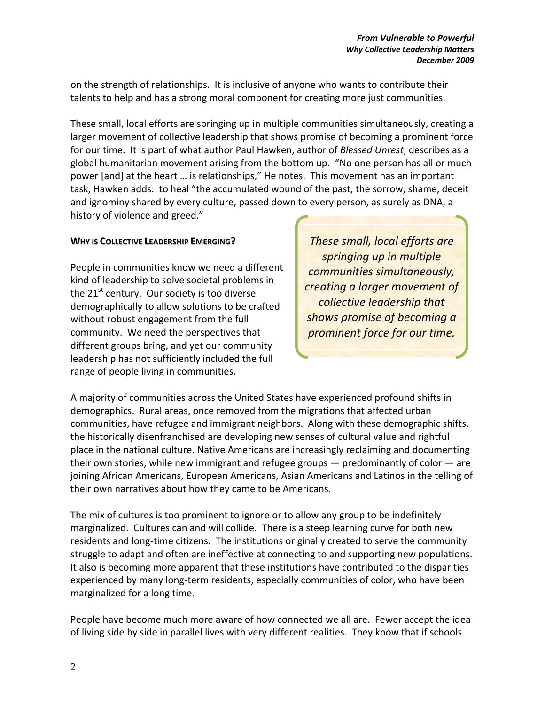on the strength of relationships. It is inclusive of anyone who wants to contribute their talents to help and has a strong moral component for creating more just communities.

These small, local efforts are springing up in multiple communities simultaneously, creating a larger movement of collective leadership that shows promise of becoming a prominent force for our time. It is part of what author Paul Hawken, author of *Blessed Unrest*, describes as a global humanitarian movement arising from the bottom up. "No one person has all or much power [and] at the heart … is relationships," He notes. This movement has an important task, Hawken adds: to heal "the accumulated wound of the past, the sorrow, shame, deceit and ignominy shared by every culture, passed down to every person, as surely as DNA, a history of violence and greed."

# **WHY IS COLLECTIVE LEADERSHIP EMERGING?**

People in communities know we need a different kind of leadership to solve societal problems in the 21<sup>st</sup> century. Our society is too diverse demographically to allow solutions to be crafted without robust engagement from the full community. We need the perspectives that different groups bring, and yet our community leadership has not sufficiently included the full range of people living in communities.

*These small, local efforts are springing up in multiple communities simultaneously, creating a larger movement of collective leadership that shows promise of becoming a prominent force for our time.* 

A majority of communities across the United States have experienced profound shifts in demographics. Rural areas, once removed from the migrations that affected urban communities, have refugee and immigrant neighbors. Along with these demographic shifts, the historically disenfranchised are developing new senses of cultural value and rightful place in the national culture. Native Americans are increasingly reclaiming and documenting their own stories, while new immigrant and refugee groups — predominantly of color — are joining African Americans, European Americans, Asian Americans and Latinos in the telling of their own narratives about how they came to be Americans.

The mix of cultures is too prominent to ignore or to allow any group to be indefinitely marginalized. Cultures can and will collide. There is a steep learning curve for both new residents and long-time citizens. The institutions originally created to serve the community struggle to adapt and often are ineffective at connecting to and supporting new populations. It also is becoming more apparent that these institutions have contributed to the disparities experienced by many long-term residents, especially communities of color, who have been marginalized for a long time.

People have become much more aware of how connected we all are. Fewer accept the idea of living side by side in parallel lives with very different realities. They know that if schools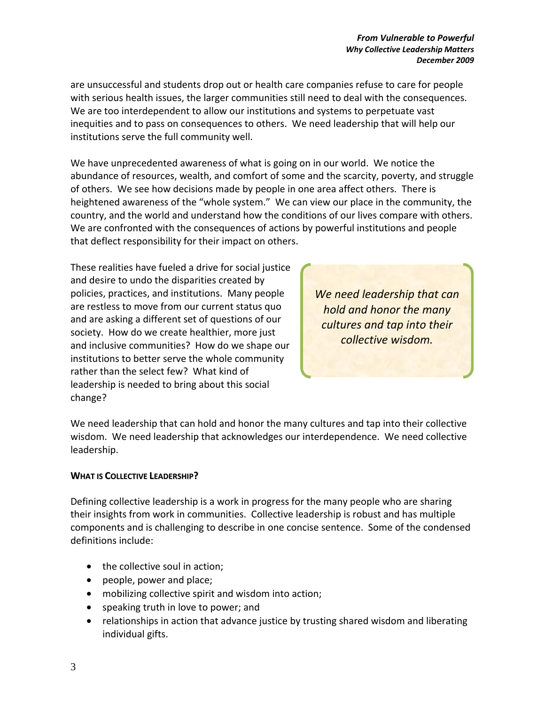are unsuccessful and students drop out or health care companies refuse to care for people with serious health issues, the larger communities still need to deal with the consequences. We are too interdependent to allow our institutions and systems to perpetuate vast inequities and to pass on consequences to others. We need leadership that will help our institutions serve the full community well.

We have unprecedented awareness of what is going on in our world. We notice the abundance of resources, wealth, and comfort of some and the scarcity, poverty, and struggle of others. We see how decisions made by people in one area affect others. There is heightened awareness of the "whole system." We can view our place in the community, the country, and the world and understand how the conditions of our lives compare with others. We are confronted with the consequences of actions by powerful institutions and people that deflect responsibility for their impact on others.

These realities have fueled a drive for social justice and desire to undo the disparities created by policies, practices, and institutions. Many people are restless to move from our current status quo and are asking a different set of questions of our society. How do we create healthier, more just and inclusive communities? How do we shape our institutions to better serve the whole community rather than the select few? What kind of leadership is needed to bring about this social change?

*We need leadership that can hold and honor the many cultures and tap into their collective wisdom.*

We need leadership that can hold and honor the many cultures and tap into their collective wisdom. We need leadership that acknowledges our interdependence. We need collective leadership.

# **WHAT IS COLLECTIVE LEADERSHIP?**

Defining collective leadership is a work in progress for the many people who are sharing their insights from work in communities. Collective leadership is robust and has multiple components and is challenging to describe in one concise sentence. Some of the condensed definitions include:

- the collective soul in action;
- people, power and place;
- mobilizing collective spirit and wisdom into action;
- speaking truth in love to power; and
- relationships in action that advance justice by trusting shared wisdom and liberating individual gifts.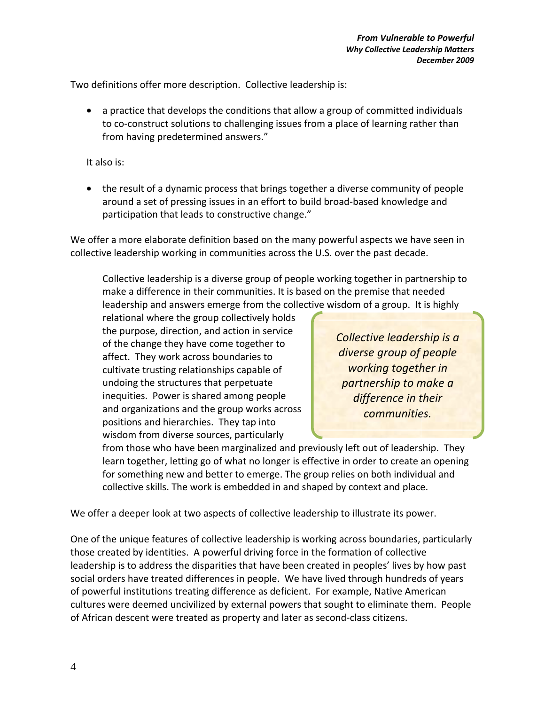Two definitions offer more description. Collective leadership is:

• a practice that develops the conditions that allow a group of committed individuals to co-construct solutions to challenging issues from a place of learning rather than from having predetermined answers."

It also is:

• the result of a dynamic process that brings together a diverse community of people around a set of pressing issues in an effort to build broad-based knowledge and participation that leads to constructive change."

We offer a more elaborate definition based on the many powerful aspects we have seen in collective leadership working in communities across the U.S. over the past decade.

Collective leadership is a diverse group of people working together in partnership to make a difference in their communities. It is based on the premise that needed leadership and answers emerge from the collective wisdom of a group. It is highly

relational where the group collectively holds the purpose, direction, and action in service of the change they have come together to affect. They work across boundaries to cultivate trusting relationships capable of undoing the structures that perpetuate inequities. Power is shared among people and organizations and the group works across positions and hierarchies. They tap into wisdom from diverse sources, particularly

*Collective leadership is a diverse group of people working together in partnership to make a difference in their communities.*

from those who have been marginalized and previously left out of leadership. They learn together, letting go of what no longer is effective in order to create an opening for something new and better to emerge. The group relies on both individual and collective skills. The work is embedded in and shaped by context and place.

We offer a deeper look at two aspects of collective leadership to illustrate its power.

One of the unique features of collective leadership is working across boundaries, particularly those created by identities. A powerful driving force in the formation of collective leadership is to address the disparities that have been created in peoples' lives by how past social orders have treated differences in people. We have lived through hundreds of years of powerful institutions treating difference as deficient. For example, Native American cultures were deemed uncivilized by external powers that sought to eliminate them. People of African descent were treated as property and later as second-class citizens.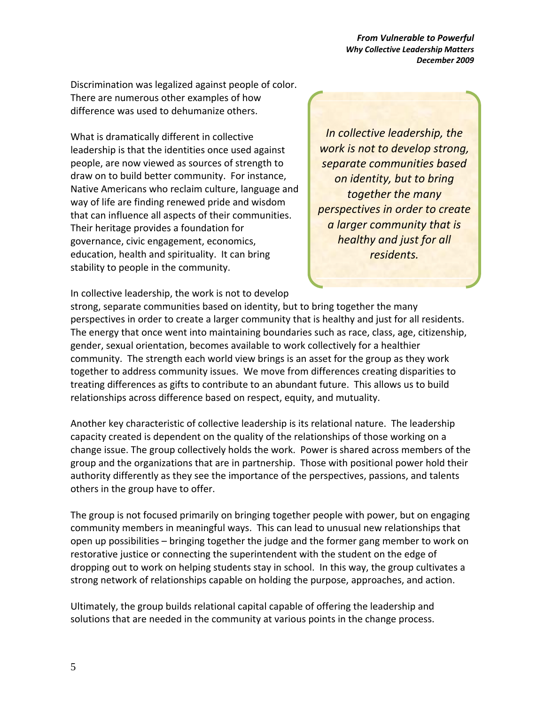*From Vulnerable to Powerful Why Collective Leadership Matters December 2009* 

Discrimination was legalized against people of color. There are numerous other examples of how difference was used to dehumanize others.

What is dramatically different in collective leadership is that the identities once used against people, are now viewed as sources of strength to draw on to build better community. For instance, Native Americans who reclaim culture, language and way of life are finding renewed pride and wisdom that can influence all aspects of their communities. Their heritage provides a foundation for governance, civic engagement, economics, education, health and spirituality. It can bring stability to people in the community.

*In collective leadership, the work is not to develop strong, separate communities based on identity, but to bring together the many perspectives in order to create a larger community that is healthy and just for all residents.* 

In collective leadership, the work is not to develop

strong, separate communities based on identity, but to bring together the many perspectives in order to create a larger community that is healthy and just for all residents. The energy that once went into maintaining boundaries such as race, class, age, citizenship, gender, sexual orientation, becomes available to work collectively for a healthier community. The strength each world view brings is an asset for the group as they work together to address community issues. We move from differences creating disparities to treating differences as gifts to contribute to an abundant future. This allows us to build relationships across difference based on respect, equity, and mutuality.

Another key characteristic of collective leadership is its relational nature. The leadership capacity created is dependent on the quality of the relationships of those working on a change issue. The group collectively holds the work. Power is shared across members of the group and the organizations that are in partnership. Those with positional power hold their authority differently as they see the importance of the perspectives, passions, and talents others in the group have to offer.

The group is not focused primarily on bringing together people with power, but on engaging community members in meaningful ways. This can lead to unusual new relationships that open up possibilities – bringing together the judge and the former gang member to work on restorative justice or connecting the superintendent with the student on the edge of dropping out to work on helping students stay in school. In this way, the group cultivates a strong network of relationships capable on holding the purpose, approaches, and action.

Ultimately, the group builds relational capital capable of offering the leadership and solutions that are needed in the community at various points in the change process.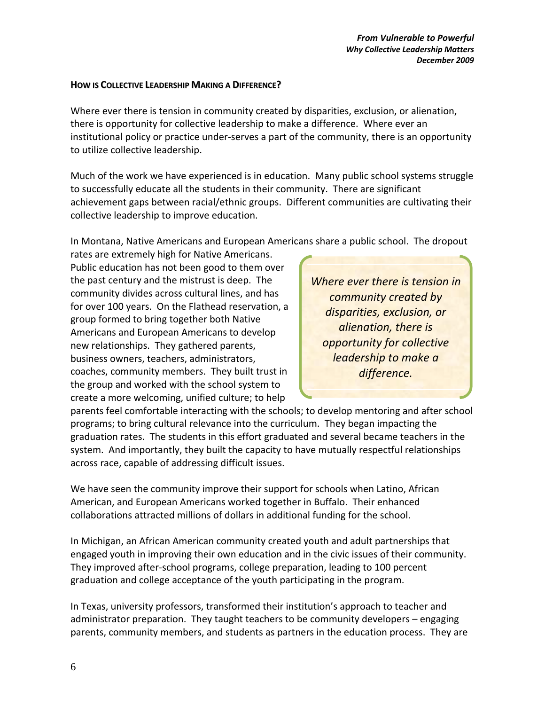### **HOW IS COLLECTIVE LEADERSHIP MAKING A DIFFERENCE?**

Where ever there is tension in community created by disparities, exclusion, or alienation, there is opportunity for collective leadership to make a difference. Where ever an institutional policy or practice under-serves a part of the community, there is an opportunity to utilize collective leadership.

Much of the work we have experienced is in education. Many public school systems struggle to successfully educate all the students in their community. There are significant achievement gaps between racial/ethnic groups. Different communities are cultivating their collective leadership to improve education.

In Montana, Native Americans and European Americans share a public school. The dropout

rates are extremely high for Native Americans. Public education has not been good to them over the past century and the mistrust is deep. The community divides across cultural lines, and has for over 100 years. On the Flathead reservation, a group formed to bring together both Native Americans and European Americans to develop new relationships. They gathered parents, business owners, teachers, administrators, coaches, community members. They built trust in the group and worked with the school system to create a more welcoming, unified culture; to help

*Where ever there is tension in community created by disparities, exclusion, or alienation, there is opportunity for collective leadership to make a difference.* 

parents feel comfortable interacting with the schools; to develop mentoring and after school programs; to bring cultural relevance into the curriculum. They began impacting the graduation rates. The students in this effort graduated and several became teachers in the system. And importantly, they built the capacity to have mutually respectful relationships across race, capable of addressing difficult issues.

We have seen the community improve their support for schools when Latino, African American, and European Americans worked together in Buffalo. Their enhanced collaborations attracted millions of dollars in additional funding for the school.

In Michigan, an African American community created youth and adult partnerships that engaged youth in improving their own education and in the civic issues of their community. They improved after-school programs, college preparation, leading to 100 percent graduation and college acceptance of the youth participating in the program.

In Texas, university professors, transformed their institution's approach to teacher and administrator preparation. They taught teachers to be community developers – engaging parents, community members, and students as partners in the education process. They are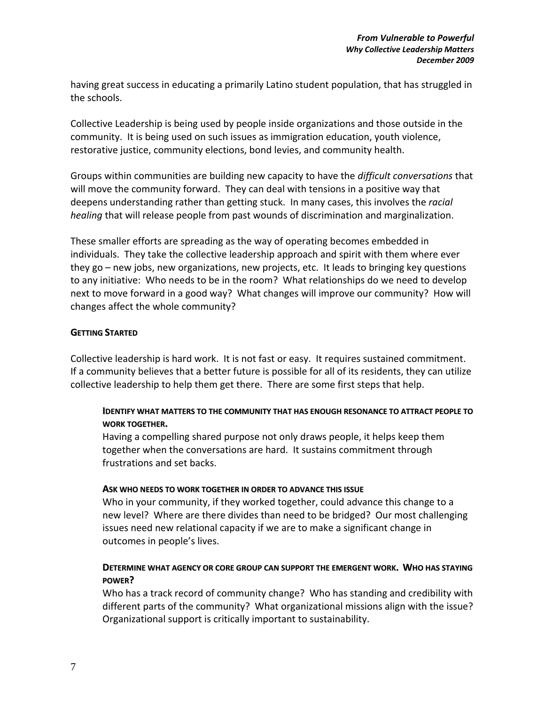having great success in educating a primarily Latino student population, that has struggled in the schools.

Collective Leadership is being used by people inside organizations and those outside in the community. It is being used on such issues as immigration education, youth violence, restorative justice, community elections, bond levies, and community health.

Groups within communities are building new capacity to have the *difficult conversations* that will move the community forward. They can deal with tensions in a positive way that deepens understanding rather than getting stuck. In many cases, this involves the *racial healing* that will release people from past wounds of discrimination and marginalization.

These smaller efforts are spreading as the way of operating becomes embedded in individuals. They take the collective leadership approach and spirit with them where ever they go – new jobs, new organizations, new projects, etc. It leads to bringing key questions to any initiative: Who needs to be in the room? What relationships do we need to develop next to move forward in a good way? What changes will improve our community? How will changes affect the whole community?

# **GETTING STARTED**

Collective leadership is hard work. It is not fast or easy. It requires sustained commitment. If a community believes that a better future is possible for all of its residents, they can utilize collective leadership to help them get there. There are some first steps that help.

# **IDENTIFY WHAT MATTERS TO THE COMMUNITY THAT HAS ENOUGH RESONANCE TO ATTRACT PEOPLE TO WORK TOGETHER.**

Having a compelling shared purpose not only draws people, it helps keep them together when the conversations are hard. It sustains commitment through frustrations and set backs.

# **ASK WHO NEEDS TO WORK TOGETHER IN ORDER TO ADVANCE THIS ISSUE**

Who in your community, if they worked together, could advance this change to a new level? Where are there divides than need to be bridged? Our most challenging issues need new relational capacity if we are to make a significant change in outcomes in people's lives.

# **DETERMINE WHAT AGENCY OR CORE GROUP CAN SUPPORT THE EMERGENT WORK. WHO HAS STAYING POWER?**

Who has a track record of community change? Who has standing and credibility with different parts of the community? What organizational missions align with the issue? Organizational support is critically important to sustainability.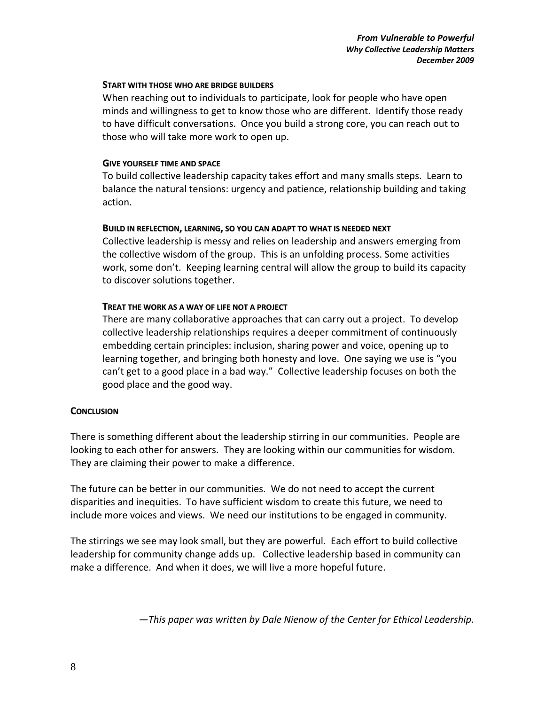### **START WITH THOSE WHO ARE BRIDGE BUILDERS**

When reaching out to individuals to participate, look for people who have open minds and willingness to get to know those who are different. Identify those ready to have difficult conversations. Once you build a strong core, you can reach out to those who will take more work to open up.

#### **GIVE YOURSELF TIME AND SPACE**

To build collective leadership capacity takes effort and many smalls steps. Learn to balance the natural tensions: urgency and patience, relationship building and taking action.

### **BUILD IN REFLECTION, LEARNING, SO YOU CAN ADAPT TO WHAT IS NEEDED NEXT**

Collective leadership is messy and relies on leadership and answers emerging from the collective wisdom of the group. This is an unfolding process. Some activities work, some don't. Keeping learning central will allow the group to build its capacity to discover solutions together.

# **TREAT THE WORK AS A WAY OF LIFE NOT A PROJECT**

There are many collaborative approaches that can carry out a project. To develop collective leadership relationships requires a deeper commitment of continuously embedding certain principles: inclusion, sharing power and voice, opening up to learning together, and bringing both honesty and love. One saying we use is "you can't get to a good place in a bad way." Collective leadership focuses on both the good place and the good way.

# **CONCLUSION**

There is something different about the leadership stirring in our communities. People are looking to each other for answers. They are looking within our communities for wisdom. They are claiming their power to make a difference.

The future can be better in our communities. We do not need to accept the current disparities and inequities. To have sufficient wisdom to create this future, we need to include more voices and views. We need our institutions to be engaged in community.

The stirrings we see may look small, but they are powerful. Each effort to build collective leadership for community change adds up. Collective leadership based in community can make a difference. And when it does, we will live a more hopeful future.

*—This paper was written by Dale Nienow of the Center for Ethical Leadership.*